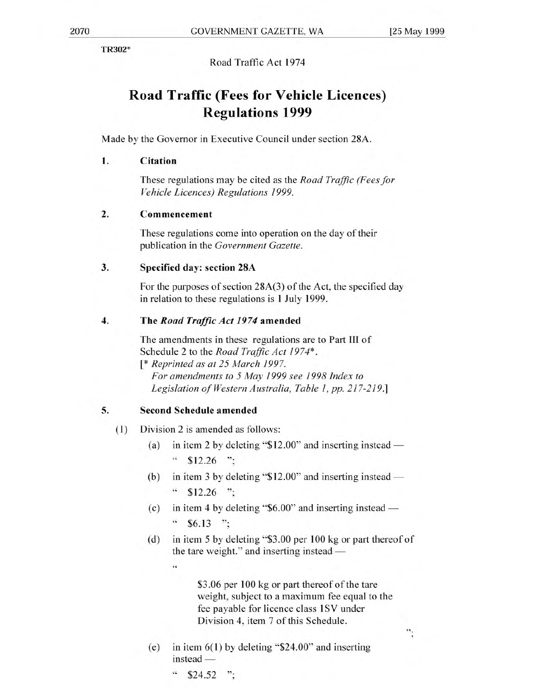TR302\*

Road Traffic Act 1974

# **Road Traffic (Fees for Vehicle Licences) Regulations 1999**

Made by the Governor in Executive Council under section 28A.

#### **1. Citation**

These regulations may be cited as the *Road Traffic (Fees for Vehicle Licences) Regulations 1999.* 

## **2. Commencement**

These regulations come into operation on the day of their publication in the *Government Gazette.* 

### **3. Specified day: section 28A**

For the purposes of section 28A(3) of the Act, the specified day in relation to these regulations is 1 July 1999.

### **4. The** *Road Traffic Act 1974* **amended**

The amendments in these regulations are to Part **III** of Schedule 2 to the *Road Traffic Act 1974\* . [\* Reprinted as at 25 March 1997.* 

*For amendments to 5 May 1999 see 1998 Index to Legislation of Western Australia, Table 1, pp. 217-219.]* 

## **5. Second Schedule amended**

44

- (1) Division 2 is amended as follows:
	- (a) in item 2 by deleting "\$12.00" and inserting instead  $\cdot \cdot$  \$12.26 ";
	- (b) in item 3 by deleting "\$12.00" and inserting instead  $\degree$  \$12.26 ":
	- (c) in item 4 by deleting "\$6.00" and inserting instead  $\degree$  \$6.13 ";
	- (d) in item 5 by deleting "\$3.00 per 100 kg or part thereof of the tare weight." and inserting instead

\$3.06 per 100 kg or part thereof of the tare weight, subject to a maximum fee equal to the fee payable for licence class 1SV under Division 4, item 7 of this Schedule.

 $\ddot{\cdot}$ 

- (e) in item 6(1) by deleting "\$24.00" and inserting instead —
	- $\degree$  \$24.52 ";